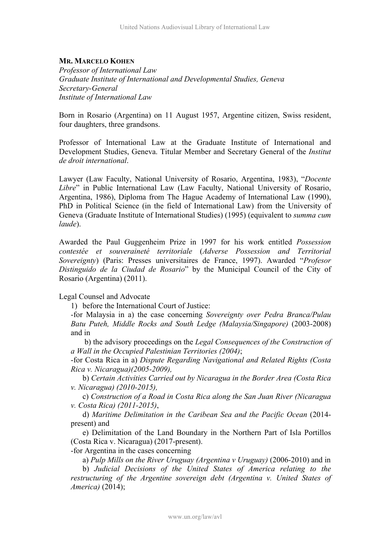## **MR. MARCELO KOHEN**

*Professor of International Law Graduate Institute of International and Developmental Studies, Geneva Secretary-General Institute of International Law*

Born in Rosario (Argentina) on 11 August 1957, Argentine citizen, Swiss resident, four daughters, three grandsons.

Professor of International Law at the Graduate Institute of International and Development Studies, Geneva. Titular Member and Secretary General of the *Institut de droit international*.

Lawyer (Law Faculty, National University of Rosario, Argentina, 1983), "*Docente Libre*" in Public International Law (Law Faculty, National University of Rosario, Argentina, 1986), Diploma from The Hague Academy of International Law (1990), PhD in Political Science (in the field of International Law) from the University of Geneva (Graduate Institute of International Studies) (1995) (equivalent to *summa cum laude*).

Awarded the Paul Guggenheim Prize in 1997 for his work entitled *Possession contestée et souveraineté territoriale* (*Adverse Possession and Territorial Sovereignty*) (Paris: Presses universitaires de France, 1997). Awarded "*Profesor Distinguido de la Ciudad de Rosario*" by the Municipal Council of the City of Rosario (Argentina) (2011).

# Legal Counsel and Advocate

1) before the International Court of Justice:

-for Malaysia in a) the case concerning *Sovereignty over Pedra Branca/Pulau Batu Puteh, Middle Rocks and South Ledge (Malaysia/Singapore)* (2003-2008) and in

b) the advisory proceedings on the *Legal Consequences of the Construction of a Wall in the Occupied Palestinian Territories (2004)*;

-for Costa Rica in a) *Dispute Regarding Navigational and Related Rights (Costa Rica v. Nicaragua)(2005-2009),*

b) *Certain Activities Carried out by Nicaragua in the Border Area (Costa Rica v. Nicaragua) (2010-2015),*

c) *Construction of a Road in Costa Rica along the San Juan River (Nicaragua v. Costa Rica) (2011-2015)*,

d) *Maritime Delimitation in the Caribean Sea and the Pacific Ocean* (2014 present) and

e) Delimitation of the Land Boundary in the Northern Part of Isla Portillos (Costa Rica v. Nicaragua) (2017-present).

-for Argentina in the cases concerning

a) *Pulp Mills on the River Uruguay (Argentina v Uruguay)* (2006-2010) and in

b) *Judicial Decisions of the United States of America relating to the restructuring of the Argentine sovereign debt (Argentina v. United States of America)* (2014);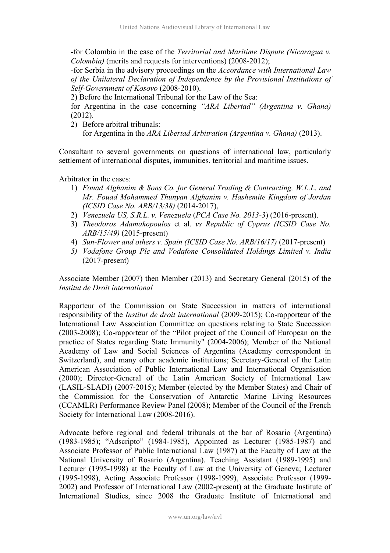-for Colombia in the case of the *Territorial and Maritime Dispute (Nicaragua v. Colombia)* (merits and requests for interventions) (2008-2012);

-for Serbia in the advisory proceedings on the *Accordance with International Law of the Unilateral Declaration of Independence by the Provisional Institutions of Self-Government of Kosovo* (2008-2010).

2) Before the International Tribunal for the Law of the Sea:

for Argentina in the case concerning *"ARA Libertad" (Argentina v. Ghana)* (2012).

2) Before arbitral tribunals: for Argentina in the *ARA Libertad Arbitration (Argentina v. Ghana)* (2013).

Consultant to several governments on questions of international law, particularly settlement of international disputes, immunities, territorial and maritime issues.

Arbitrator in the cases:

- 1) *Fouad Alghanim & Sons Co. for General Trading & Contracting, W.L.L. and Mr. Fouad Mohammed Thunyan Alghanim v. Hashemite Kingdom of Jordan (ICSID Case No. ARB/13/38)* (2014-2017),
- 2) *Venezuela US, S.R.L. v. Venezuela* (*PCA Case No. 2013-3*) (2016-present).
- 3) *Theodoros Adamakopoulos* et al. *vs Republic of Cyprus (ICSID Case No. ARB/15/49)* (2015-present)
- 4) *Sun-Flower and others v. Spain (ICSID Case No. ARB/16/17)* (2017-present)
- *5) Vodafone Group Plc and Vodafone Consolidated Holdings Limited v. India*  (2017-present)

Associate Member (2007) then Member (2013) and Secretary General (2015) of the *Institut de Droit international*

Rapporteur of the Commission on State Succession in matters of international responsibility of the *Institut de droit international* (2009-2015); Co-rapporteur of the International Law Association Committee on questions relating to State Succession (2003-2008); Co-rapporteur of the "Pilot project of the Council of European on the practice of States regarding State Immunity" (2004-2006); Member of the National Academy of Law and Social Sciences of Argentina (Academy correspondent in Switzerland), and many other academic institutions; Secretary-General of the Latin American Association of Public International Law and International Organisation (2000); Director-General of the Latin American Society of International Law (LASIL-SLADI) (2007-2015); Member (elected by the Member States) and Chair of the Commission for the Conservation of Antarctic Marine Living Resources (CCAMLR) Performance Review Panel (2008); Member of the Council of the French Society for International Law (2008-2016).

Advocate before regional and federal tribunals at the bar of Rosario (Argentina) (1983-1985); "Adscripto" (1984-1985), Appointed as Lecturer (1985-1987) and Associate Professor of Public International Law (1987) at the Faculty of Law at the National University of Rosario (Argentina). Teaching Assistant (1989-1995) and Lecturer (1995-1998) at the Faculty of Law at the University of Geneva; Lecturer (1995-1998), Acting Associate Professor (1998-1999), Associate Professor (1999- 2002) and Professor of International Law (2002-present) at the Graduate Institute of International Studies, since 2008 the Graduate Institute of International and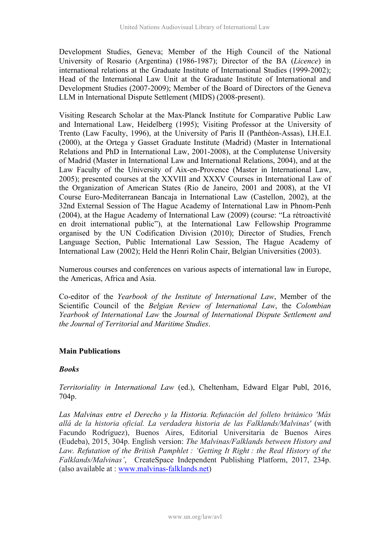Development Studies, Geneva; Member of the High Council of the National University of Rosario (Argentina) (1986-1987); Director of the BA (*Licence*) in international relations at the Graduate Institute of International Studies (1999-2002); Head of the International Law Unit at the Graduate Institute of International and Development Studies (2007-2009); Member of the Board of Directors of the Geneva LLM in International Dispute Settlement (MIDS) (2008-present).

Visiting Research Scholar at the Max-Planck Institute for Comparative Public Law and International Law, Heidelberg (1995); Visiting Professor at the University of Trento (Law Faculty, 1996), at the University of Paris II (Panthéon-Assas), I.H.E.I. (2000), at the Ortega y Gasset Graduate Institute (Madrid) (Master in International Relations and PhD in International Law, 2001-2008), at the Complutense University of Madrid (Master in International Law and International Relations, 2004), and at the Law Faculty of the University of Aix-en-Provence (Master in International Law, 2005); presented courses at the XXVIII and XXXV Courses in International Law of the Organization of American States (Rio de Janeiro, 2001 and 2008), at the VI Course Euro-Mediterranean Bancaja in International Law (Castellon, 2002), at the 32nd External Session of The Hague Academy of International Law in Phnom-Penh (2004), at the Hague Academy of International Law (2009) (course: "La rétroactivité en droit international public"), at the International Law Fellowship Programme organised by the UN Codification Division (2010); Director of Studies, French Language Section, Public International Law Session, The Hague Academy of International Law (2002); Held the Henri Rolin Chair, Belgian Universities (2003).

Numerous courses and conferences on various aspects of international law in Europe, the Americas, Africa and Asia.

Co-editor of the *Yearbook of the Institute of International Law*, Member of the Scientific Council of the *Belgian Review of International Law*, the *Colombian Yearbook of International Law* the *Journal of International Dispute Settlement and the Journal of Territorial and Maritime Studies*.

# **Main Publications**

## *Books*

*Territoriality in International Law* (ed.), Cheltenham, Edward Elgar Publ, 2016, 704p.

*Las Malvinas entre el Derecho y la Historia. Refutación del folleto británico 'Más allá de la historia oficial. La verdadera historia de las Falklands/Malvinas'* (with Facundo Rodríguez), Buenos Aires, Editorial Universitaria de Buenos Aires (Eudeba), 2015, 304p. English version: *The Malvinas/Falklands between History and Law. Refutation of the British Pamphlet : 'Getting It Right : the Real History of the Falklands/Malvinas'*, CreateSpace Independent Publishing Platform, 2017, 234p. (also available at : www.malvinas-falklands.net)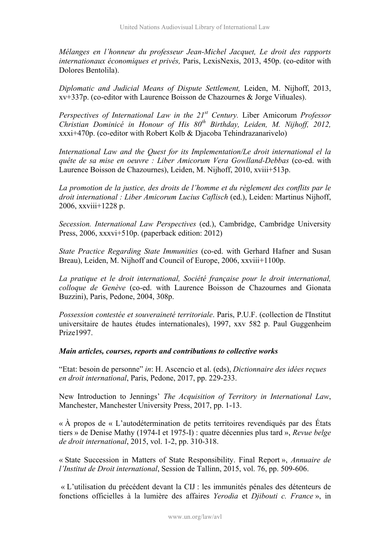*Mélanges en l'honneur du professeur Jean-Michel Jacquet, Le droit des rapports internationaux économiques et privés,* Paris, LexisNexis, 2013, 450p. (co-editor with Dolores Bentolila).

*Diplomatic and Judicial Means of Dispute Settlement,* Leiden, M. Nijhoff, 2013, xv+337p. (co-editor with Laurence Boisson de Chazournes & Jorge Viñuales).

*Perspectives of International Law in the 21st Century.* Liber Amicorum *Professor Christian Dominicé in Honour of His 80th Birthday, Leiden, M. Nijhoff, 2012,*  xxxi+470p. (co-editor with Robert Kolb & Djacoba Tehindrazanarivelo)

*International Law and the Quest for its Implementation/Le droit international el la quête de sa mise en oeuvre : Liber Amicorum Vera Gowlland-Debbas* (co-ed. with Laurence Boisson de Chazournes), Leiden, M. Nijhoff, 2010, xviii+513p.

*La promotion de la justice, des droits de l'homme et du règlement des conflits par le droit international : Liber Amicorum Lucius Caflisch* (ed.), Leiden: Martinus Nijhoff, 2006, xxviii+1228 p.

*Secession. International Law Perspectives* (ed.), Cambridge, Cambridge University Press, 2006, xxxvi+510p. (paperback edition: 2012)

*State Practice Regarding State Immunities* (co-ed. with Gerhard Hafner and Susan Breau), Leiden, M. Nijhoff and Council of Europe, 2006, xxviii+1100p.

*La pratique et le droit international, Société française pour le droit international, colloque de Genève* (co-ed. with Laurence Boisson de Chazournes and Gionata Buzzini), Paris, Pedone, 2004, 308p.

*Possession contestée et souveraineté territoriale*. Paris, P.U.F. (collection de l'Institut universitaire de hautes études internationales), 1997, xxv 582 p. Paul Guggenheim Prize1997.

## *Main articles, courses, reports and contributions to collective works*

"Etat: besoin de personne" *in*: H. Ascencio et al. (eds), *Dictionnaire des idées reçues en droit international*, Paris, Pedone, 2017, pp. 229-233.

New Introduction to Jennings' *The Acquisition of Territory in International Law*, Manchester, Manchester University Press, 2017, pp. 1-13.

« À propos de « L'autodétermination de petits territoires revendiqués par des États tiers » de Denise Mathy (1974-I et 1975-I) : quatre décennies plus tard », *Revue belge de droit international*, 2015, vol. 1-2, pp. 310-318.

« State Succession in Matters of State Responsibility. Final Report », *Annuaire de l'Institut de Droit international*, Session de Tallinn, 2015, vol. 76, pp. 509-606.

« L'utilisation du précédent devant la CIJ : les immunités pénales des détenteurs de fonctions officielles à la lumière des affaires *Yerodia* et *Djibouti c. France* », in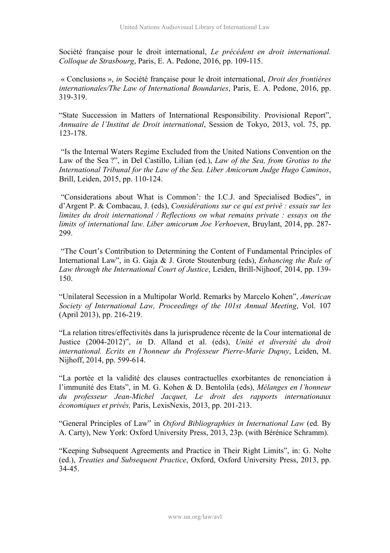Société française pour le droit international, *Le précédent en droit international. Colloque de Strasbourg*, Paris, E. A. Pedone, 2016, pp. 109-115.

« Conclusions », *in* Société française pour le droit international, *Droit des frontières internationales/The Law of International Boundaries*, Paris, E. A. Pedone, 2016, pp. 319-319.

"State Succession in Matters of International Responsibility. Provisional Report", *Annuaire de l'Institut de Droit international*, Session de Tokyo, 2013, vol. 75, pp. 123-178.

"Is the Internal Waters Regime Excluded from the United Nations Convention on the Law of the Sea ?", in Del Castillo, Lilian (ed.), *Law of the Sea, from Grotius to the International Tribunal for the Law of the Sea. Liber Amicorum Judge Hugo Caminos*, Brill, Leiden, 2015, pp. 110-124.

"Considerations about What is Common': the I.C.J. and Specialised Bodies", in d'Argent P. & Combacau, J. (eds), *Considérations sur ce qui est privé : essais sur les limites du droit international / Reflections on what remains private : essays on the limits of international law. Liber amicorum Joe Verhoeven*, Bruylant, 2014, pp. 287- 299.

"The Court's Contribution to Determining the Content of Fundamental Principles of International Law", in G. Gaja & J. Grote Stoutenburg (eds), *Enhancing the Rule of Law through the International Court of Justice*, Leiden, Brill-Nijhoof, 2014, pp. 139- 150.

"Unilateral Secession in a Multipolar World. Remarks by Marcelo Kohen", *American Society of International Law, Proceedings of the 101st Annual Meeting*, Vol. 107 (April 2013), pp. 216-219.

"La relation titres/effectivités dans la jurisprudence récente de la Cour international de Justice (2004-2012)", *in* D. Alland et al. (eds), *Unité et diversité du droit international. Ecrits en l'honneur du Professeur Pierre-Marie Dupuy*, Leiden, M. Nijhoff, 2014, pp. 599-614.

"La portée et la validité des clauses contractuelles exorbitantes de renonciation à l'immunité des Etats", in M. G. Kohen & D. Bentolila (eds), *Mélanges en l'honneur du professeur Jean-Michel Jacquet, Le droit des rapports internationaux économiques et privés,* Paris, LexisNexis, 2013, pp. 201-213.

"General Principles of Law" in *Oxford Bibliographies in International Law* (ed. By A. Carty), New York: Oxford University Press, 2013, 23p. (with Bérénice Schramm).

"Keeping Subsequent Agreements and Practice in Their Right Limits", in: G. Nolte (ed.), *Treaties and Subsequent Practice*, Oxford, Oxford University Press, 2013, pp. 34-45.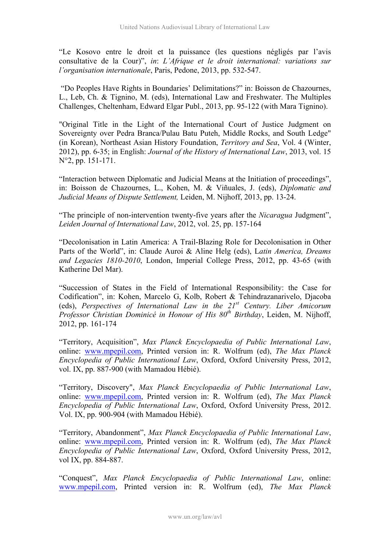"Le Kosovo entre le droit et la puissance (les questions négligés par l'avis consultative de la Cour)", *in*: *L'Afrique et le droit international: variations sur l'organisation internationale*, Paris, Pedone, 2013, pp. 532-547.

"Do Peoples Have Rights in Boundaries' Delimitations?" in: Boisson de Chazournes, L., Leb, Ch. & Tignino, M. (eds), International Law and Freshwater. The Multiples Challenges, Cheltenham, Edward Elgar Publ., 2013, pp. 95-122 (with Mara Tignino).

"Original Title in the Light of the International Court of Justice Judgment on Sovereignty over Pedra Branca/Pulau Batu Puteh, Middle Rocks, and South Ledge" (in Korean), Northeast Asian History Foundation, *Territory and Sea*, Vol. 4 (Winter, 2012), pp. 6-35; in English: *Journal of the History of International Law*, 2013, vol. 15 N°2, pp. 151-171.

"Interaction between Diplomatic and Judicial Means at the Initiation of proceedings", in: Boisson de Chazournes, L., Kohen, M. & Viñuales, J. (eds), *Diplomatic and Judicial Means of Dispute Settlement,* Leiden, M. Nijhoff, 2013, pp. 13-24.

"The principle of non-intervention twenty-five years after the *Nicaragua* Judgment", *Leiden Journal of International Law*, 2012, vol. 25, pp. 157-164

"Decolonisation in Latin America: A Trail-Blazing Role for Decolonisation in Other Parts of the World", in: Claude Auroi & Aline Helg (eds), L*atin America, Dreams and Legacies 1810-2010*, London, Imperial College Press, 2012, pp. 43-65 (with Katherine Del Mar).

"Succession of States in the Field of International Responsibility: the Case for Codification", in: Kohen, Marcelo G, Kolb, Robert & Tehindrazanarivelo, Djacoba (eds), *Perspectives of International Law in the 21st Century. Liber Amicorum Professor Christian Dominicé in Honour of His 80th Birthday*, Leiden, M. Nijhoff, 2012, pp. 161-174

"Territory, Acquisition", *Max Planck Encyclopaedia of Public International Law*, online: www.mpepil.com, Printed version in: R. Wolfrum (ed), *The Max Planck Encyclopedia of Public International Law*, Oxford, Oxford University Press, 2012, vol. IX, pp. 887-900 (with Mamadou Hébié).

"Territory, Discovery", *Max Planck Encyclopaedia of Public International Law*, online: www.mpepil.com, Printed version in: R. Wolfrum (ed), *The Max Planck Encyclopedia of Public International Law*, Oxford, Oxford University Press, 2012. Vol. IX, pp. 900-904 (with Mamadou Hébié).

"Territory, Abandonment", *Max Planck Encyclopaedia of Public International Law*, online: www.mpepil.com, Printed version in: R. Wolfrum (ed), *The Max Planck Encyclopedia of Public International Law*, Oxford, Oxford University Press, 2012, vol IX, pp. 884-887.

"Conquest", *Max Planck Encyclopaedia of Public International Law*, online: www.mpepil.com, Printed version in: R. Wolfrum (ed), *The Max Planck*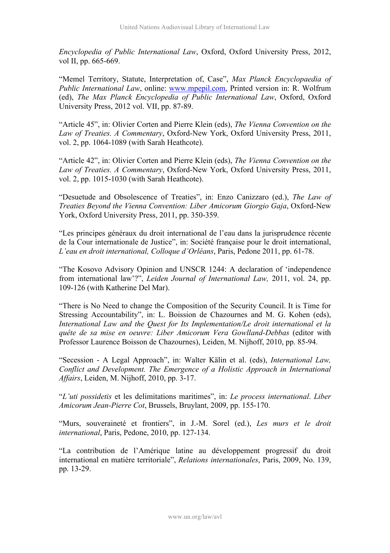*Encyclopedia of Public International Law*, Oxford, Oxford University Press, 2012, vol II, pp. 665-669.

"Memel Territory, Statute, Interpretation of, Case", *Max Planck Encyclopaedia of Public International Law*, online: www.mpepil.com, Printed version in: R. Wolfrum (ed), *The Max Planck Encyclopedia of Public International Law*, Oxford, Oxford University Press, 2012 vol. VII, pp. 87-89.

"Article 45", in: Olivier Corten and Pierre Klein (eds), *The Vienna Convention on the Law of Treaties. A Commentary*, Oxford-New York, Oxford University Press, 2011, vol. 2, pp. 1064-1089 (with Sarah Heathcote).

"Article 42", in: Olivier Corten and Pierre Klein (eds), *The Vienna Convention on the Law of Treaties. A Commentary*, Oxford-New York, Oxford University Press, 2011, vol. 2, pp. 1015-1030 (with Sarah Heathcote).

"Desuetude and Obsolescence of Treaties", in: Enzo Canizzaro (ed.), *The Law of Treaties Beyond the Vienna Convention: Liber Amicorum Giorgio Gaja*, Oxford-New York, Oxford University Press, 2011, pp. 350-359.

"Les principes généraux du droit international de l'eau dans la jurisprudence récente de la Cour internationale de Justice", in: Société française pour le droit international, *L'eau en droit international, Colloque d'Orléans*, Paris, Pedone 2011, pp. 61-78.

"The Kosovo Advisory Opinion and UNSCR 1244: A declaration of 'independence from international law'?", *Leiden Journal of International Law,* 2011, vol. 24, pp. 109-126 (with Katherine Del Mar).

"There is No Need to change the Composition of the Security Council. It is Time for Stressing Accountability", in: L. Boission de Chazournes and M. G. Kohen (eds), *International Law and the Quest for Its Implementation/Le droit international et la quête de sa mise en oeuvre: Liber Amicorum Vera Gowlland-Debbas* (editor with Professor Laurence Boisson de Chazournes), Leiden, M. Nijhoff, 2010, pp. 85-94.

"Secession - A Legal Approach", in: Walter Kälin et al. (eds), *International Law, Conflict and Development. The Emergence of a Holistic Approach in International Affairs*, Leiden, M. Nijhoff, 2010, pp. 3-17.

"*L'uti possidetis* et les delimitations maritimes", in: *Le process international*. *Liber Amicorum Jean-Pierre Cot*, Brussels, Bruylant, 2009, pp. 155-170.

"Murs, souveraineté et frontiers", in J.-M. Sorel (ed.), *Les murs et le droit international*, Paris, Pedone, 2010, pp. 127-134.

"La contribution de l'Amérique latine au développement progressif du droit international en matière territoriale", *Relations internationales*, Paris, 2009, No. 139, pp. 13-29.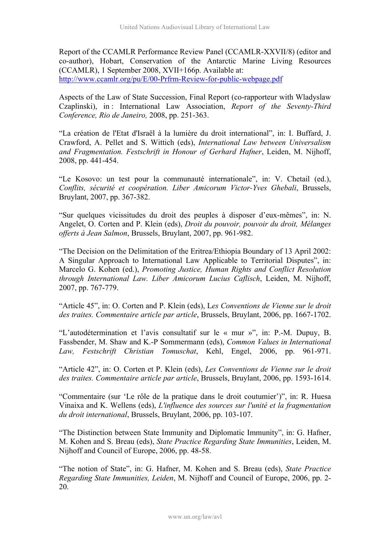Report of the CCAMLR Performance Review Panel (CCAMLR-XXVII/8) (editor and co-author), Hobart, Conservation of the Antarctic Marine Living Resources (CCAMLR), 1 September 2008, XVII+166p. Available at: http://www.ccamlr.org/pu/E/00-Prfrm-Review-for-public-webpage.pdf

Aspects of the Law of State Succession, Final Report (co-rapporteur with Wladyslaw Czaplinski), in : International Law Association, *Report of the Seventy-Third Conference, Rio de Janeiro,* 2008, pp. 251-363.

"La création de l'Etat d'Israël à la lumière du droit international", in: I. Buffard, J. Crawford, A. Pellet and S. Wittich (eds), *International Law between Universalism and Fragmentation. Festschrift in Honour of Gerhard Hafner*, Leiden, M. Nijhoff, 2008, pp. 441-454.

"Le Kosovo: un test pour la communauté internationale", in: V. Chetail (ed.), *Conflits, sécurité et coopération. Liber Amicorum Victor-Yves Ghebali*, Brussels, Bruylant, 2007, pp. 367-382.

"Sur quelques vicissitudes du droit des peuples à disposer d'eux-mêmes", in: N. Angelet, O. Corten and P. Klein (eds), *Droit du pouvoir, pouvoir du droit, Mélanges offerts à Jean Salmon*, Brussels, Bruylant, 2007, pp. 961-982.

"The Decision on the Delimitation of the Eritrea/Ethiopia Boundary of 13 April 2002: A Singular Approach to International Law Applicable to Territorial Disputes", in: Marcelo G. Kohen (ed.), *Promoting Justice, Human Rights and Conflict Resolution through International Law. Liber Amicorum Lucius Caflisch*, Leiden, M. Nijhoff, 2007, pp. 767-779.

"Article 45", in: O. Corten and P. Klein (eds), L*es Conventions de Vienne sur le droit des traites. Commentaire article par article*, Brussels, Bruylant, 2006, pp. 1667-1702.

"L'autodétermination et l'avis consultatif sur le « mur »", in: P.-M. Dupuy, B. Fassbender, M. Shaw and K.-P Sommermann (eds), *Common Values in International Law, Festschrift Christian Tomuschat*, Kehl, Engel, 2006, pp. 961-971.

"Article 42", in: O. Corten et P. Klein (eds), *Les Conventions de Vienne sur le droit des traites. Commentaire article par article*, Brussels, Bruylant, 2006, pp. 1593-1614.

"Commentaire (sur 'Le rôle de la pratique dans le droit coutumier')", in: R. Huesa Vinaixa and K. Wellens (eds), *L'influence des sources sur l'unité et la fragmentation du droit international*, Brussels, Bruylant, 2006, pp. 103-107.

"The Distinction between State Immunity and Diplomatic Immunity", in: G. Hafner, M. Kohen and S. Breau (eds), *State Practice Regarding State Immunities*, Leiden, M. Nijhoff and Council of Europe, 2006, pp. 48-58.

"The notion of State", in: G. Hafner, M. Kohen and S. Breau (eds), *State Practice Regarding State Immunities, Leiden*, M. Nijhoff and Council of Europe, 2006, pp. 2- 20.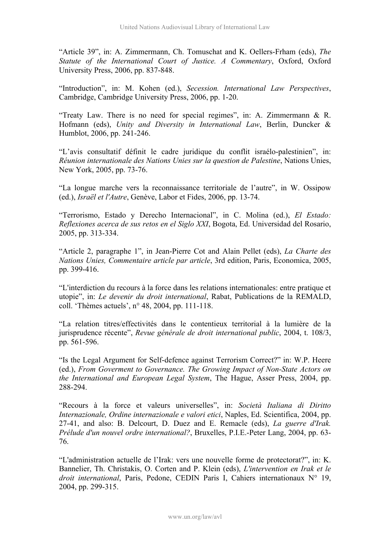"Article 39", in: A. Zimmermann, Ch. Tomuschat and K. Oellers-Frham (eds), *The Statute of the International Court of Justice. A Commentary*, Oxford, Oxford University Press, 2006, pp. 837-848.

"Introduction", in: M. Kohen (ed.), *Secession. International Law Perspectives*, Cambridge, Cambridge University Press, 2006, pp. 1-20.

"Treaty Law. There is no need for special regimes", in: A. Zimmermann & R. Hofmann (eds), *Unity and Diversity in International Law*, Berlin, Duncker & Humblot, 2006, pp. 241-246.

"L'avis consultatif définit le cadre juridique du conflit israélo-palestinien", in: *Réunion internationale des Nations Unies sur la question de Palestine*, Nations Unies, New York, 2005, pp. 73-76.

"La longue marche vers la reconnaissance territoriale de l'autre", in W. Ossipow (ed.), *Israël et l'Autre*, Genève, Labor et Fides, 2006, pp. 13-74.

"Terrorismo, Estado y Derecho Internacional", in C. Molina (ed.), *El Estado: Reflexiones acerca de sus retos en el Siglo XXI*, Bogota, Ed. Universidad del Rosario, 2005, pp. 313-334.

"Article 2, paragraphe 1", in Jean-Pierre Cot and Alain Pellet (eds), *La Charte des Nations Unies, Commentaire article par article*, 3rd edition, Paris, Economica, 2005, pp. 399-416.

"L'interdiction du recours à la force dans les relations internationales: entre pratique et utopie", in: *Le devenir du droit international*, Rabat, Publications de la REMALD, coll. 'Thèmes actuels', n° 48, 2004, pp. 111-118.

"La relation titres/effectivités dans le contentieux territorial à la lumière de la jurisprudence récente", *Revue générale de droit international public*, 2004, t. 108/3, pp. 561-596.

"Is the Legal Argument for Self-defence against Terrorism Correct?" in: W.P. Heere (ed.), *From Goverment to Governance. The Growing Impact of Non-State Actors on the International and European Legal System*, The Hague, Asser Press, 2004, pp. 288-294.

"Recours à la force et valeurs universelles", in: *Società Italiana di Diritto Internazionale, Ordine internazionale e valori etici*, Naples, Ed. Scientifica, 2004, pp. 27-41, and also: B. Delcourt, D. Duez and E. Remacle (eds), *La guerre d'Irak. Prélude d'un nouvel ordre international?*, Bruxelles, P.I.E.-Peter Lang, 2004, pp. 63- 76.

"L'administration actuelle de l'Irak: vers une nouvelle forme de protectorat?", in: K. Bannelier, Th. Christakis, O. Corten and P. Klein (eds), *L'intervention en Irak et le droit international*, Paris, Pedone, CEDIN Paris I, Cahiers internationaux N° 19, 2004, pp. 299-315.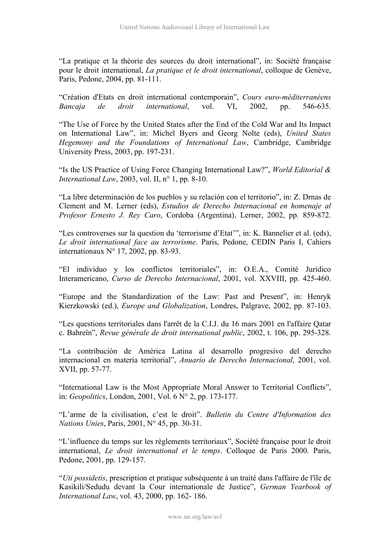"La pratique et la théorie des sources du droit international", in: Société française pour le droit international, *La pratique et le droit international*, colloque de Genève, Paris, Pedone, 2004, pp. 81-111.

"Création d'Etats en droit international contemporain", *Cours euro-méditerranéens Bancaja de droit international*, vol. VI, 2002, pp. 546-635.

"The Use of Force by the United States after the End of the Cold War and Its Impact on International Law", in: Michel Byers and Georg Nolte (eds), *United States Hegemony and the Foundations of International Law*, Cambridge, Cambridge University Press, 2003, pp. 197-231.

"Is the US Practice of Using Force Changing International Law?", *World Editorial & International Law*, 2003, vol. II, n° 1, pp. 8-10.

"La libre determinación de los pueblos y su relación con el territorio", in: Z. Drnas de Clement and M. Lerner (eds), *Estudios de Derecho Internacional en homenaje al Profesor Ernesto J. Rey Caro*, Cordoba (Argentina), Lerner, 2002, pp. 859-872.

"Les controverses sur la question du 'terrorisme d'Etat'", in: K. Bannelier et al. (eds), *Le droit international face au terrorisme*. Paris, Pedone, CEDIN Paris I, Cahiers internationaux N° 17, 2002, pp. 83-93.

"El individuo y los conflictos territoriales", in: O.E.A., Comité Jurídico Interamericano, *Curso de Derecho Internacional*, 2001, vol. XXVIII, pp. 425-460.

"Europe and the Standardization of the Law: Past and Present", in: Henryk Kierzkowski (ed.), *Europe and Globalization*, Londres, Palgrave, 2002, pp. 87-103.

"Les questions territoriales dans l'arrêt de la C.I.J. du 16 mars 2001 en l'affaire Qatar c. Bahreïn", *Revue générale de droit international public*, 2002, t. 106, pp. 295-328.

"La contribución de América Latina al desarrollo progresivo del derecho internacional en materia territorial", *Anuario de Derecho Internacional*, 2001, vol. XVII, pp. 57-77.

"International Law is the Most Appropriate Moral Answer to Territorial Conflicts", in: *Geopolitics*, London, 2001, Vol. 6 N° 2, pp. 173-177.

"L'arme de la civilisation, c'est le droit". *Bulletin du Centre d'Information des Nations Unies*, Paris, 2001, N° 45, pp. 30-31.

"L'influence du temps sur les règlements territoriaux", Société française pour le droit international, *Le droit international et le temps*. Colloque de Paris 2000. Paris, Pedone, 2001, pp. 129-157.

"*Uti possidetis*, prescription et pratique subséquente à un traité dans l'affaire de l'île de Kasikili/Sedudu devant la Cour internationale de Justice", *German Yearbook of International Law*, vol. 43, 2000, pp. 162- 186.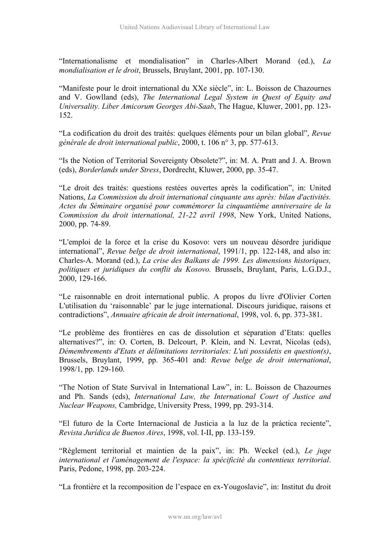"Internationalisme et mondialisation" in Charles-Albert Morand (ed.), *La mondialisation et le droit*, Brussels, Bruylant, 2001, pp. 107-130.

"Manifeste pour le droit international du XXe siècle", in: L. Boisson de Chazournes and V. Gowlland (eds), *The International Legal System in Quest of Equity and Universality. Liber Amicorum Georges Abi-Saab*, The Hague, Kluwer, 2001, pp. 123- 152.

"La codification du droit des traités: quelques éléments pour un bilan global", *Revue générale de droit international public*, 2000, t. 106 n° 3, pp. 577-613.

"Is the Notion of Territorial Sovereignty Obsolete?", in: M. A. Pratt and J. A. Brown (eds), *Borderlands under Stress*, Dordrecht, Kluwer, 2000, pp. 35-47.

"Le droit des traités: questions restées ouvertes après la codification", in: United Nations, *La Commission du droit international cinquante ans après: bilan d'activités. Actes du Séminaire organisé pour commémorer la cinquantième anniversaire de la Commission du droit international, 21-22 avril 1998*, New York, United Nations, 2000, pp. 74-89.

"L'emploi de la force et la crise du Kosovo: vers un nouveau désordre juridique international", *Revue belge de droit international*, 1991/1, pp. 122-148, and also in: Charles-A. Morand (ed.), *La crise des Balkans de 1999. Les dimensions historiques, politiques et juridiques du conflit du Kosovo.* Brussels, Bruylant, Paris, L.G.D.J., 2000, 129-166.

"Le raisonnable en droit international public. A propos du livre d'Olivier Corten L'utilisation du 'raisonnable' par le juge international. Discours juridique, raisons et contradictions", *Annuaire africain de droit international*, 1998, vol. 6, pp. 373-381.

"Le problème des frontières en cas de dissolution et séparation d'Etats: quelles alternatives?", in: O. Corten, B. Delcourt, P. Klein, and N. Levrat, Nicolas (eds), *Démembrements d'Etats et délimitations territoriales: L'uti possidetis en question(s)*, Brussels, Bruylant, 1999, pp. 365-401 and: *Revue belge de droit international*, 1998/1, pp. 129-160.

"The Notion of State Survival in International Law", in: L. Boisson de Chazournes and Ph. Sands (eds), *International Law, the International Court of Justice and Nuclear Weapons,* Cambridge, University Press, 1999, pp. 293-314.

"El futuro de la Corte Internacional de Justicia a la luz de la práctica reciente", *Revista Jurídica de Buenos Aires*, 1998, vol. I-II, pp. 133-159.

"Règlement territorial et maintien de la paix", in: Ph. Weckel (ed.), *Le juge international et l'aménagement de l'espace: la spécificité du contentieux territorial*. Paris, Pedone, 1998, pp. 203-224.

"La frontière et la recomposition de l'espace en ex-Yougoslavie", in: Institut du droit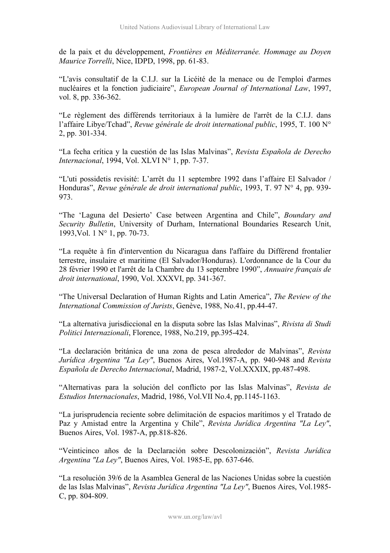de la paix et du développement, *Frontières en Méditerranée. Hommage au Doyen Maurice Torrelli*, Nice, IDPD, 1998, pp. 61-83.

"L'avis consultatif de la C.I.J. sur la Licéité de la menace ou de l'emploi d'armes nucléaires et la fonction judiciaire", *European Journal of International Law*, 1997, vol. 8, pp. 336-362.

"Le règlement des différends territoriaux à la lumière de l'arrêt de la C.I.J. dans l'affaire Libye/Tchad", *Revue générale de droit international public*, 1995, T. 100 N° 2, pp. 301-334.

"La fecha crítica y la cuestión de las Islas Malvinas", *Revista Española de Derecho Internacional*, 1994, Vol. XLVI N° 1, pp. 7-37.

"L'uti possidetis revisité: L'arrêt du 11 septembre 1992 dans l'affaire El Salvador / Honduras", *Revue générale de droit international public*, 1993, T. 97 N° 4, pp. 939- 973.

"The 'Laguna del Desierto' Case between Argentina and Chile", *Boundary and Security Bulletin*, University of Durham, International Boundaries Research Unit, 1993,Vol. 1 N° 1, pp. 70-73.

"La requête à fin d'intervention du Nicaragua dans l'affaire du Différend frontalier terrestre, insulaire et maritime (El Salvador/Honduras). L'ordonnance de la Cour du 28 février 1990 et l'arrêt de la Chambre du 13 septembre 1990", *Annuaire français de droit international*, 1990, Vol. XXXVI, pp. 341-367.

"The Universal Declaration of Human Rights and Latin America", *The Review of the International Commission of Jurists*, Genève, 1988, No.41, pp.44-47.

"La alternativa jurisdiccional en la disputa sobre las Islas Malvinas", *Rivista di Studi Politici Internazionali*, Florence, 1988, No.219, pp.395-424.

"La declaración británica de una zona de pesca alrededor de Malvinas", *Revista Jurídica Argentina "La Ley"*, Buenos Aires, Vol.1987-A, pp. 940-948 and *Revista Española de Derecho Internacional*, Madrid, 1987-2, Vol.XXXIX, pp.487-498.

"Alternativas para la solución del conflicto por las Islas Malvinas", *Revista de Estudios Internacionales*, Madrid, 1986, Vol.VII No.4, pp.1145-1163.

"La jurisprudencia reciente sobre delimitación de espacios marítimos y el Tratado de Paz y Amistad entre la Argentina y Chile", *Revista Jurídica Argentina "La Ley"*, Buenos Aires, Vol. 1987-A, pp.818-826.

"Veinticinco años de la Declaración sobre Descolonización", *Revista Jurídica Argentina "La Ley"*, Buenos Aires, Vol. 1985-E, pp. 637-646.

"La resolución 39/6 de la Asamblea General de las Naciones Unidas sobre la cuestión de las Islas Malvinas", *Revista Jurídica Argentina "La Ley"*, Buenos Aires, Vol.1985- C, pp. 804-809.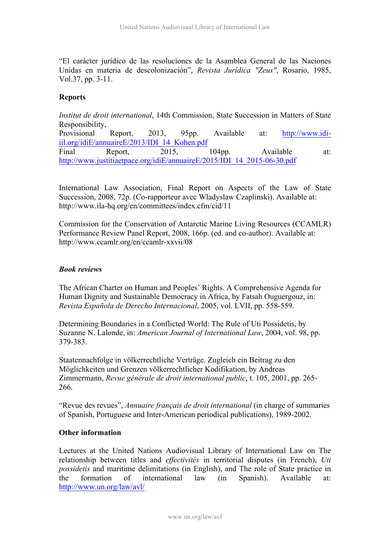"El carácter jurídico de las resoluciones de la Asamblea General de las Naciones Unidas en materia de descolonización", *Revista Jurídica "Zeus"*, Rosario, 1985, Vol.37, pp. 3-11.

# **Reports**

*Institut de droit international*, 14th Commission, State Succession in Matters of State Responsibility, Provisional Report, 2013, 95pp. Available at: http://www.idiiil.org/idiE/annuaireE/2013/IDI\_14\_Kohen.pdf Final Report, 2015, 104pp. Available at: http://www.justitiaetpace.org/idiE/annuaireE/2015/IDI\_14\_2015-06-30.pdf

International Law Association, Final Report on Aspects of the Law of State Succession, 2008, 72p. (Co-rapporteur avec Wladyslaw Czaplinski). Available at: http://www.ila-hq.org/en/committees/index.cfm/cid/11

Commission for the Conservation of Antarctic Marine Living Resources (CCAMLR) Performance Review Panel Report, 2008, 166p. (ed. and co-author). Available at: http://www.ccamlr.org/en/ccamlr-xxvii/08

## *Book reviews*

The African Charter on Human and Peoples' Rights. A Comprehensive Agenda for Human Dignity and Sustainable Democracy in Africa, by Fatsah Ouguergouz, in: *Revista Española de Derecho Internacional*, 2005, vol. LVII, pp. 558-559.

Determining Boundaries in a Conflicted World: The Rule of Uti Possidetis, by Suzanne N. Lalonde, in: *American Journal of International Law*, 2004, vol. 98, pp. 379-383.

Staatennachfolge in völkerrechtliche Verträge. Zugleich ein Beitrag zu den Möglichkeiten und Grenzen völkerrechtlicher Kodifikation, by Andreas Zimmermann, *Revue générale de droit international public*, t. 105, 2001, pp. 265- 266.

"Revue des revues", *Annuaire français de droit international* (in charge of summaries of Spanish, Portuguese and Inter-American periodical publications), 1989-2002.

## **Other information**

Lectures at the United Nations Audiovisual Library of International Law on The relationship between titles and *effectivités* in territorial disputes (in French), *Uti possidetis* and maritime delimitations (in English), and The role of State practice in the formation of international law (in Spanish). Available at: http://www.un.org/law/avl/